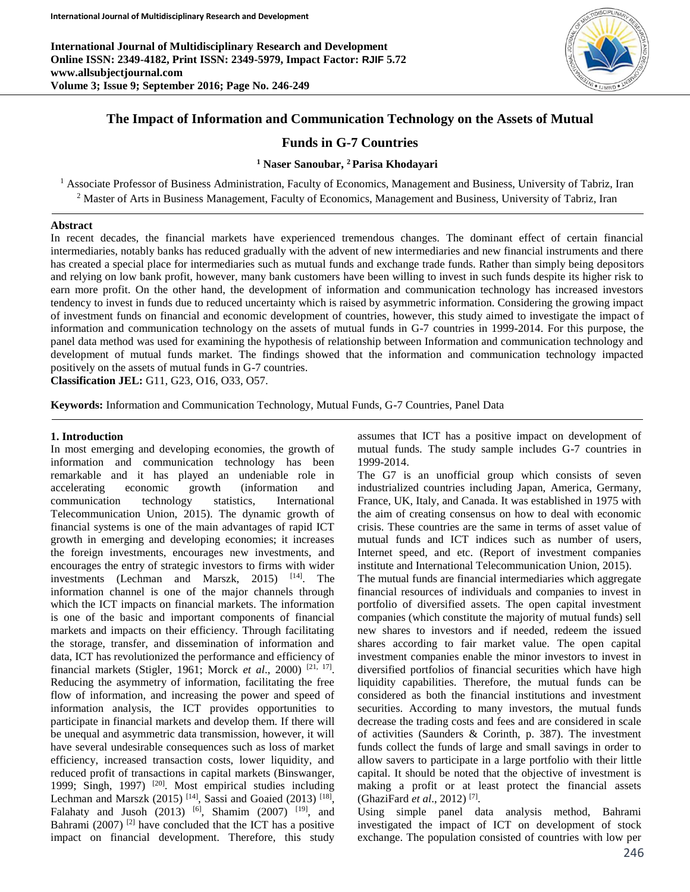**International Journal of Multidisciplinary Research and Development Online ISSN: 2349-4182, Print ISSN: 2349-5979, Impact Factor: RJIF 5.72 www.allsubjectjournal.com Volume 3; Issue 9; September 2016; Page No. 246-249**



# **The Impact of Information and Communication Technology on the Assets of Mutual**

# **Funds in G-7 Countries**

## **<sup>1</sup> Naser Sanoubar, <sup>2</sup>Parisa Khodayari**

<sup>1</sup> Associate Professor of Business Administration, Faculty of Economics, Management and Business, University of Tabriz, Iran <sup>2</sup> Master of Arts in Business Management, Faculty of Economics, Management and Business, University of Tabriz, Iran

#### **Abstract**

In recent decades, the financial markets have experienced tremendous changes. The dominant effect of certain financial intermediaries, notably banks has reduced gradually with the advent of new intermediaries and new financial instruments and there has created a special place for intermediaries such as mutual funds and exchange trade funds. Rather than simply being depositors and relying on low bank profit, however, many bank customers have been willing to invest in such funds despite its higher risk to earn more profit. On the other hand, the development of information and communication technology has increased investors tendency to invest in funds due to reduced uncertainty which is raised by asymmetric information. Considering the growing impact of investment funds on financial and economic development of countries, however, this study aimed to investigate the impact of information and communication technology on the assets of mutual funds in G-7 countries in 1999-2014. For this purpose, the panel data method was used for examining the hypothesis of relationship between Information and communication technology and development of mutual funds market. The findings showed that the information and communication technology impacted positively on the assets of mutual funds in G-7 countries.

**Classification JEL:** G11, G23, O16, O33, O57.

**Keywords:** Information and Communication Technology, Mutual Funds, G-7 Countries, Panel Data

#### **1. Introduction**

In most emerging and developing economies, the growth of information and communication technology has been remarkable and it has played an undeniable role in accelerating economic growth (information and communication technology statistics, International Telecommunication Union, 2015). The dynamic growth of financial systems is one of the main advantages of rapid ICT growth in emerging and developing economies; it increases the foreign investments, encourages new investments, and encourages the entry of strategic investors to firms with wider investments (Lechman and Marszk,  $2015$ )  $^{[14]}$ . The information channel is one of the major channels through which the ICT impacts on financial markets. The information is one of the basic and important components of financial markets and impacts on their efficiency. Through facilitating the storage, transfer, and dissemination of information and data, ICT has revolutionized the performance and efficiency of financial markets (Stigler, 1961; Morck *et al*., 2000) [21, 17] . Reducing the asymmetry of information, facilitating the free flow of information, and increasing the power and speed of information analysis, the ICT provides opportunities to participate in financial markets and develop them. If there will be unequal and asymmetric data transmission, however, it will have several undesirable consequences such as loss of market efficiency, increased transaction costs, lower liquidity, and reduced profit of transactions in capital markets (Binswanger, 1999; Singh, 1997)<sup>[20]</sup>. Most empirical studies including Lechman and Marszk  $(2015)$ <sup>[14]</sup>, Sassi and Goaied  $(2013)$ <sup>[18]</sup>, Falahaty and Jusoh (2013) <sup>[6]</sup>, Shamim (2007) <sup>[19]</sup>, and Bahrami  $(2007)$ <sup>[2]</sup> have concluded that the ICT has a positive impact on financial development. Therefore, this study

assumes that ICT has a positive impact on development of mutual funds. The study sample includes G-7 countries in 1999-2014.

The G7 is an unofficial group which consists of seven industrialized countries including Japan, America, Germany, France, UK, Italy, and Canada. It was established in 1975 with the aim of creating consensus on how to deal with economic crisis. These countries are the same in terms of asset value of mutual funds and ICT indices such as number of users, Internet speed, and etc. (Report of investment companies institute and International Telecommunication Union, 2015).

The mutual funds are financial intermediaries which aggregate financial resources of individuals and companies to invest in portfolio of diversified assets. The open capital investment companies (which constitute the majority of mutual funds) sell new shares to investors and if needed, redeem the issued shares according to fair market value. The open capital investment companies enable the minor investors to invest in diversified portfolios of financial securities which have high liquidity capabilities. Therefore, the mutual funds can be considered as both the financial institutions and investment securities. According to many investors, the mutual funds decrease the trading costs and fees and are considered in scale of activities (Saunders & Corinth, p. 387). The investment funds collect the funds of large and small savings in order to allow savers to participate in a large portfolio with their little capital. It should be noted that the objective of investment is making a profit or at least protect the financial assets (GhaziFard *et al*., 2012) [7] .

Using simple panel data analysis method, Bahrami investigated the impact of ICT on development of stock exchange. The population consisted of countries with low per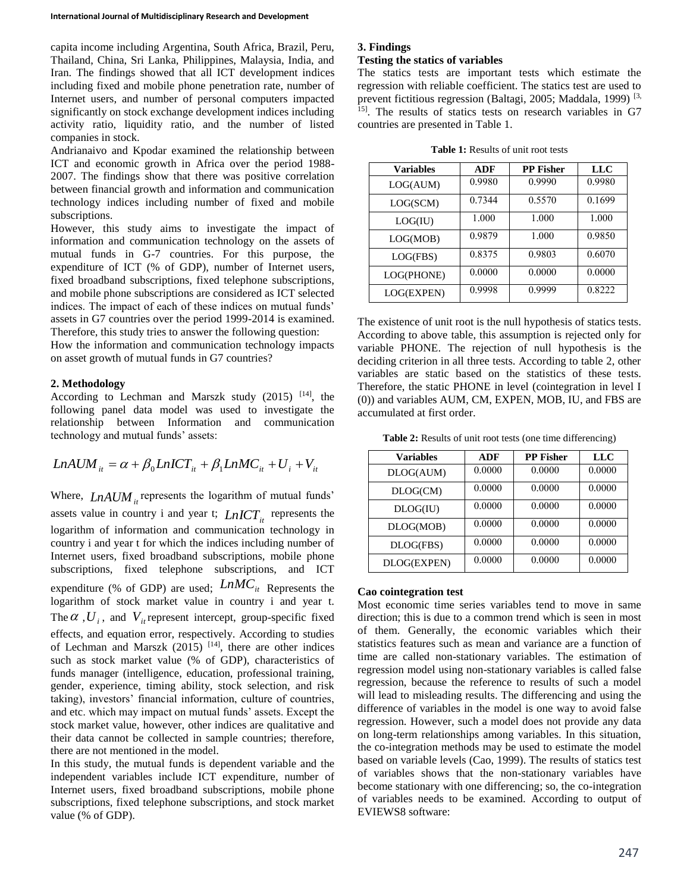capita income including Argentina, South Africa, Brazil, Peru, Thailand, China, Sri Lanka, Philippines, Malaysia, India, and Iran. The findings showed that all ICT development indices including fixed and mobile phone penetration rate, number of Internet users, and number of personal computers impacted significantly on stock exchange development indices including activity ratio, liquidity ratio, and the number of listed companies in stock.

Andrianaivo and Kpodar examined the relationship between ICT and economic growth in Africa over the period 1988- 2007. The findings show that there was positive correlation between financial growth and information and communication technology indices including number of fixed and mobile subscriptions.

However, this study aims to investigate the impact of information and communication technology on the assets of mutual funds in G-7 countries. For this purpose, the expenditure of ICT (% of GDP), number of Internet users, fixed broadband subscriptions, fixed telephone subscriptions, and mobile phone subscriptions are considered as ICT selected indices. The impact of each of these indices on mutual funds' assets in G7 countries over the period 1999-2014 is examined. Therefore, this study tries to answer the following question:

How the information and communication technology impacts on asset growth of mutual funds in G7 countries?

#### **2. Methodology**

According to Lechman and Marszk study  $(2015)$ <sup>[14]</sup>, the following panel data model was used to investigate the relationship between Information and communication technology and mutual funds' assets:

$$
LnAUM_{it} = \alpha + \beta_0 LnICT_{it} + \beta_1 LnMC_{it} + U_i + V_{it}
$$

Where,  $\text{LnAW}_{it}$  represents the logarithm of mutual funds' assets value in country i and year t;  $LnICT<sub>it</sub>$  represents the logarithm of information and communication technology in country i and year t for which the indices including number of Internet users, fixed broadband subscriptions, mobile phone subscriptions, fixed telephone subscriptions, and ICT expenditure (% of GDP) are used;  $LMC_{it}$  Represents the logarithm of stock market value in country i and year t. The  $\alpha$ ,  $U_i$ , and  $V_i$  represent intercept, group-specific fixed effects, and equation error, respectively. According to studies of Lechman and Marszk  $(2015)$  <sup>[14]</sup>, there are other indices such as stock market value (% of GDP), characteristics of funds manager (intelligence, education, professional training, gender, experience, timing ability, stock selection, and risk taking), investors' financial information, culture of countries, and etc. which may impact on mutual funds' assets. Except the stock market value, however, other indices are qualitative and their data cannot be collected in sample countries; therefore, there are not mentioned in the model.

In this study, the mutual funds is dependent variable and the independent variables include ICT expenditure, number of Internet users, fixed broadband subscriptions, mobile phone subscriptions, fixed telephone subscriptions, and stock market value (% of GDP).

### **3. Findings**

#### **Testing the statics of variables**

The statics tests are important tests which estimate the regression with reliable coefficient. The statics test are used to prevent fictitious regression (Baltagi, 2005; Maddala, 1999)<sup>[3,]</sup> <sup>15]</sup>. The results of statics tests on research variables in G7 countries are presented in Table 1.

| <b>Table 1:</b> Results of unit root tests |  |
|--------------------------------------------|--|
|--------------------------------------------|--|

| <b>Variables</b> | ADF    | <b>PP Fisher</b> | LLC    |
|------------------|--------|------------------|--------|
| LOG(AUM)         | 0.9980 | 0.9990           | 0.9980 |
| LOG(SCM)         | 0.7344 | 0.5570           | 0.1699 |
| LOG(IU)          | 1.000  | 1.000            | 1.000  |
| LOG(MOB)         | 0.9879 | 1.000            | 0.9850 |
| LOG(FBS)         | 0.8375 | 0.9803           | 0.6070 |
| LOG(PHONE)       | 0.0000 | 0.0000           | 0.0000 |
| LOG(EXPEN)       | 0.9998 | 0.9999           | 0.8222 |

The existence of unit root is the null hypothesis of statics tests. According to above table, this assumption is rejected only for variable PHONE. The rejection of null hypothesis is the deciding criterion in all three tests. According to table 2, other variables are static based on the statistics of these tests. Therefore, the static PHONE in level (cointegration in level I (0)) and variables AUM, CM, EXPEN, MOB, IU, and FBS are accumulated at first order.

**Table 2:** Results of unit root tests (one time differencing)

| <b>Variables</b> | ADF    | <b>PP Fisher</b> | LLC    |
|------------------|--------|------------------|--------|
| DLOG(AUM)        | 0.0000 | 0.0000           | 0.0000 |
| DLOG(CM)         | 0.0000 | 0.0000           | 0.0000 |
| DLOG(IU)         | 0.0000 | 0.0000           | 0.0000 |
| DLOG(MOB)        | 0.0000 | 0.0000           | 0.0000 |
| DLOG(FBS)        | 0.0000 | 0.0000           | 0.0000 |
| DLOG(EXPEN)      | 0.0000 | 0.0000           | 0.0000 |

## **Cao cointegration test**

Most economic time series variables tend to move in same direction; this is due to a common trend which is seen in most of them. Generally, the economic variables which their statistics features such as mean and variance are a function of time are called non-stationary variables. The estimation of regression model using non-stationary variables is called false regression, because the reference to results of such a model will lead to misleading results. The differencing and using the difference of variables in the model is one way to avoid false regression. However, such a model does not provide any data on long-term relationships among variables. In this situation, the co-integration methods may be used to estimate the model based on variable levels (Cao, 1999). The results of statics test of variables shows that the non-stationary variables have become stationary with one differencing; so, the co-integration of variables needs to be examined. According to output of EVIEWS8 software: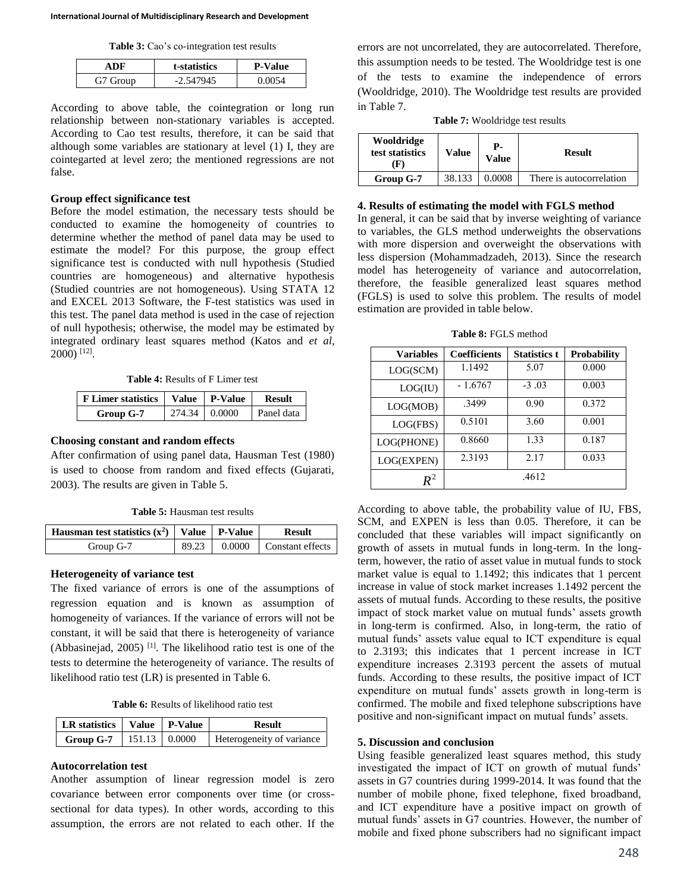**Table 3:** Cao's co-integration test results

|          | t-statistics | <b>P-Value</b> |
|----------|--------------|----------------|
| G7 Group | $-2.547945$  |                |

According to above table, the cointegration or long run relationship between non-stationary variables is accepted. According to Cao test results, therefore, it can be said that although some variables are stationary at level (1) I, they are cointegarted at level zero; the mentioned regressions are not false.

### **Group effect significance test**

Before the model estimation, the necessary tests should be conducted to examine the homogeneity of countries to determine whether the method of panel data may be used to estimate the model? For this purpose, the group effect significance test is conducted with null hypothesis (Studied countries are homogeneous) and alternative hypothesis (Studied countries are not homogeneous). Using STATA 12 and EXCEL 2013 Software, the F-test statistics was used in this test. The panel data method is used in the case of rejection of null hypothesis; otherwise, the model may be estimated by integrated ordinary least squares method (Katos and *et al*, 2000) [12] .

**Table 4:** Results of F Limer test

| <b>F</b> Limer statistics |               | Value P-Value | <b>Result</b> |
|---------------------------|---------------|---------------|---------------|
| Group G-7                 | 274.34 0.0000 |               | Panel data    |

## **Choosing constant and random effects**

After confirmation of using panel data, Hausman Test (1980) is used to choose from random and fixed effects (Gujarati, 2003). The results are given in Table 5.

**Table 5:** Hausman test results

| Hausman test statistics $(x^2)$   Value   P-Value |       | Result                                |
|---------------------------------------------------|-------|---------------------------------------|
| Group G-7                                         | 89.23 | $\vert 0.0000 \vert$ Constant effects |

#### **Heterogeneity of variance test**

The fixed variance of errors is one of the assumptions of regression equation and is known as assumption of homogeneity of variances. If the variance of errors will not be constant, it will be said that there is heterogeneity of variance (Abbasinejad,  $2005$ )<sup>[1]</sup>. The likelihood ratio test is one of the tests to determine the heterogeneity of variance. The results of likelihood ratio test (LR) is presented in Table 6.

**Table 6:** Results of likelihood ratio test

| LR statistics   Value   P-Value |  | <b>Result</b>             |
|---------------------------------|--|---------------------------|
| Group G-7   151.13   $0.0000$   |  | Heterogeneity of variance |

#### **Autocorrelation test**

Another assumption of linear regression model is zero covariance between error components over time (or crosssectional for data types). In other words, according to this assumption, the errors are not related to each other. If the

errors are not uncorrelated, they are autocorrelated. Therefore, this assumption needs to be tested. The Wooldridge test is one of the tests to examine the independence of errors (Wooldridge, 2010). The Wooldridge test results are provided in Table 7.

**Table 7:** Wooldridge test results

| Wooldridge<br>test statistics<br>F | Value  | р.<br>Value | <b>Result</b>            |
|------------------------------------|--------|-------------|--------------------------|
| Group G-7                          | 38.133 | 0.0008      | There is autocorrelation |

#### **4. Results of estimating the model with FGLS method**

In general, it can be said that by inverse weighting of variance to variables, the GLS method underweights the observations with more dispersion and overweight the observations with less dispersion (Mohammadzadeh, 2013). Since the research model has heterogeneity of variance and autocorrelation, therefore, the feasible generalized least squares method (FGLS) is used to solve this problem. The results of model estimation are provided in table below.

**Table 8:** FGLS method

| <b>Variables</b>   | <b>Coefficients</b> | <b>Statistics t</b> | <b>Probability</b> |
|--------------------|---------------------|---------------------|--------------------|
| LOG(SCM)           | 1.1492              | 5.07                | 0.000              |
| LOG(IU)            | $-1.6767$           | $-3.03$             | 0.003              |
| LOG(MOB)           | .3499               | 0.90                | 0.372              |
| LOG(FBS)           | 0.5101              | 3.60                | 0.001              |
| LOG(PHONE)         | 0.8660              | 1.33                | 0.187              |
| LOG(EXPEN)         | 2.3193              | 2.17                | 0.033              |
| $\boldsymbol{R}^2$ |                     | .4612               |                    |

According to above table, the probability value of IU, FBS, SCM, and EXPEN is less than 0.05. Therefore, it can be concluded that these variables will impact significantly on growth of assets in mutual funds in long-term. In the longterm, however, the ratio of asset value in mutual funds to stock market value is equal to 1.1492; this indicates that 1 percent increase in value of stock market increases 1.1492 percent the assets of mutual funds. According to these results, the positive impact of stock market value on mutual funds' assets growth in long-term is confirmed. Also, in long-term, the ratio of mutual funds' assets value equal to ICT expenditure is equal to 2.3193; this indicates that 1 percent increase in ICT expenditure increases 2.3193 percent the assets of mutual funds. According to these results, the positive impact of ICT expenditure on mutual funds' assets growth in long-term is confirmed. The mobile and fixed telephone subscriptions have positive and non-significant impact on mutual funds' assets.

## **5. Discussion and conclusion**

Using feasible generalized least squares method, this study investigated the impact of ICT on growth of mutual funds' assets in G7 countries during 1999-2014. It was found that the number of mobile phone, fixed telephone, fixed broadband, and ICT expenditure have a positive impact on growth of mutual funds' assets in G7 countries. However, the number of mobile and fixed phone subscribers had no significant impact